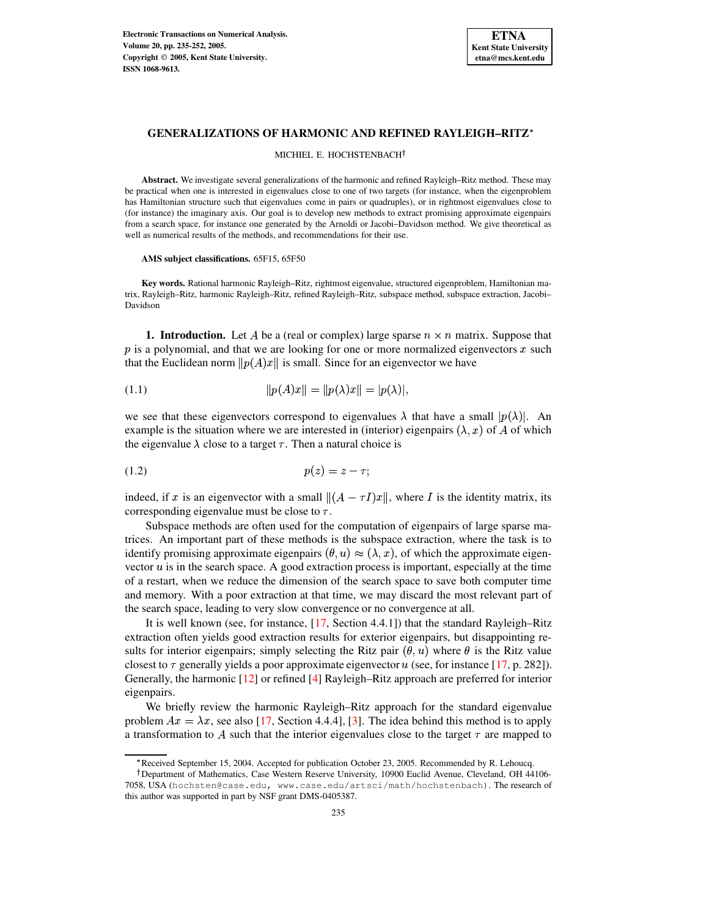

## **GENERALIZATIONS OF HARMONIC AND REFINED RAYLEIGH–RITZ**

MICHIEL E. HOCHSTENBACH<sup>†</sup>

**Abstract.** We investigate several generalizations of the harmonic and refined Rayleigh–Ritz method. These may be practical when one is interested in eigenvalues close to one of two targets (for instance, when the eigenproblem has Hamiltonian structure such that eigenvalues come in pairs or quadruples), or in rightmost eigenvalues close to (for instance) the imaginary axis. Our goal is to develop new methods to extract promising approximate eigenpairs from a search space, for instance one generated by the Arnoldi or Jacobi–Davidson method. We give theoretical as well as numerical results of the methods, and recommendations for their use.

**AMS subject classifications.** 65F15, 65F50

**Key words.** Rational harmonic Rayleigh–Ritz, rightmost eigenvalue, structured eigenproblem, Hamiltonian matrix, Rayleigh–Ritz, harmonic Rayleigh–Ritz, refined Rayleigh–Ritz, subspace method, subspace extraction, Jacobi– Davidson

<span id="page-0-1"></span>**1. Introduction.** Let A be a (real or complex) large sparse  $n \times n$  matrix. Suppose that  $p$  is a polynomial, and that we are looking for one or more normalized eigenvectors  $x$  such that the Euclidean norm  $||p(A)x||$  is small. Since for an eigenvector we have

<span id="page-0-2"></span>(1.1) 
$$
||p(A)x|| = ||p(\lambda)x|| = |p(\lambda)|,
$$

we see that these eigenvectors correspond to eigenvalues  $\lambda$  that have a small  $|p(\lambda)|$ . An example is the situation where we are interested in (interior) eigenpairs  $(\lambda, x)$  of A of which the eigenvalue  $\lambda$  close to a target  $\tau$ . Then a natural choice is

<span id="page-0-0"></span>
$$
(1.2) \t\t\t\t p(z) = z - \tau;
$$

indeed, if x is an eigenvector with a small  $\|(A - \tau I)x\|$ , where I is the identity matrix, its corresponding eigenvalue must be close to  $\tau$ .

Subspace methods are often used for the computation of eigenpairs of large sparse matrices. An important part of these methods is the subspace extraction, where the task is to identify promising approximate eigenpairs  $(\theta, u) \approx (\lambda, x)$ , of which the approximate eigenvector  $u$  is in the search space. A good extraction process is important, especially at the time of a restart, when we reduce the dimension of the search space to save both computer time and memory. With a poor extraction at that time, we may discard the most relevant part of the search space, leading to very slow convergence or no convergence at all.

It is well known (see, for instance, [\[17,](#page-17-0) Section 4.4.1]) that the standard Rayleigh–Ritz extraction often yields good extraction results for exterior eigenpairs, but disappointing results for interior eigenpairs; simply selecting the Ritz pair  $(\theta, u)$  where  $\theta$  is the Ritz value closest to  $\tau$  generally yields a poor approximate eigenvector u (see, for instance [\[17,](#page-17-0) p. 282]). Generally, the harmonic [\[12\]](#page-17-1) or refined [\[4\]](#page-17-2) Rayleigh–Ritz approach are preferred for interior eigenpairs.

We briefly review the harmonic Rayleigh–Ritz approach for the standard eigenvalue problem  $Ax = \lambda x$ , see also [\[17,](#page-17-0) Section 4.4.4], [\[3\]](#page-17-3). The idea behind this method is to apply a transformation to A such that the interior eigenvalues close to the target  $\tau$  are mapped to

<sup>)</sup> Received September 15, 2004. Accepted for publication October 23, 2005. Recommended by R. Lehoucq.

<sup>&</sup>lt;sup>†</sup>Department of Mathematics, Case Western Reserve University, 10900 Euclid Avenue, Cleveland, OH 44106-7058, USA (hochsten@case.edu, www.case.edu/artsci/math/hochstenbach). The research of this author was supported in part by NSF grant DMS-0405387.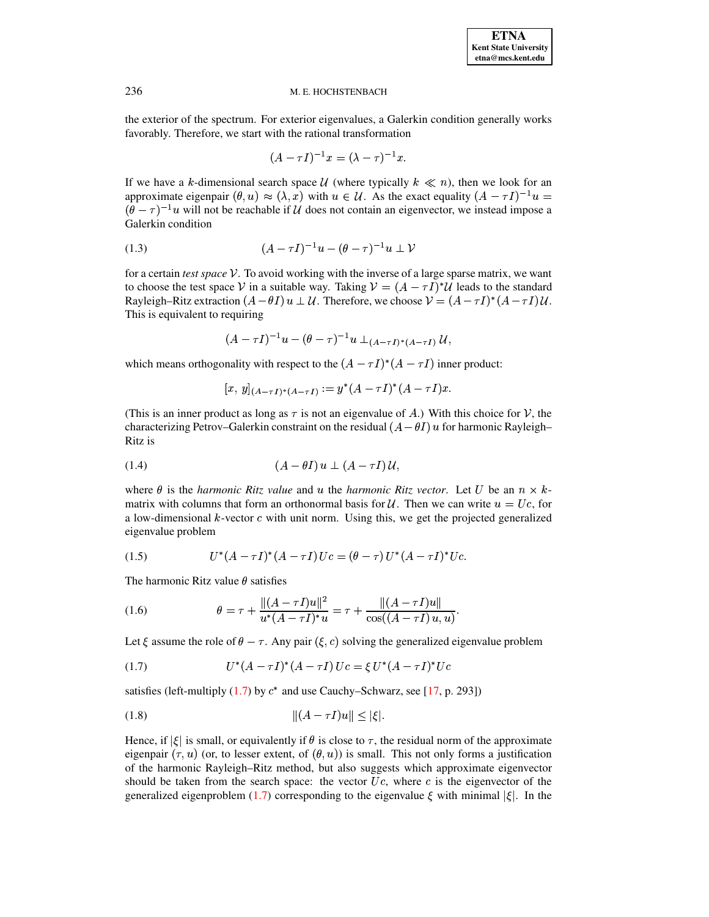the exterior of the spectrum. For exterior eigenvalues, a Galerkin condition generally works favorably. Therefore, we start with the rational transformation

$$
(A-\tau I)^{-1}x=(\lambda-\tau)^{-1}x.
$$

If we have a k-dimensional search space U (where typically  $k \ll n$ ), then we look for an approximate eigenpair  $(\theta, u) \approx (\lambda, x)$  with  $u \in \mathcal{U}$ . As the exact equality  $(A - \tau I)^{-1}u =$  $(\theta - \tau)^{-1}u$  will not be reachable if  $\mathcal U$  does not contain an eigenvector, we instead impose a Galerkin condition

<span id="page-1-2"></span>(1.3) 
$$
(A - \tau I)^{-1}u - (\theta - \tau)^{-1}u \perp V
$$

for a certain *test space*  $V$ . To avoid working with the inverse of a large sparse matrix, we want to choose the test space V in a suitable way. Taking  $V = (A - \tau I)^* \mathcal{U}$  leads to the standard Rayleigh–Ritz extraction  $(A - \theta I) u \perp U$ . Therefore, we choose  $\mathcal{V} = (A - \tau I)^*(A - \tau I)U$ . This is equivalent to requiring

$$
(A-\tau I)^{-1}u-(\theta-\tau)^{-1}u\perp_{(A-\tau I)^*(A-\tau I)}{\cal U},
$$

which means orthogonality with respect to the  $(A - \tau I)^*(A - \tau I)$  inner product:

$$
[x,\,y]_{(A-\tau\,I)^*(A-\tau\,I)}:=y^*(A-\tau I)^*(A-\tau I)x.
$$

(This is an inner product as long as  $\tau$  is not an eigenvalue of A.) With this choice for V, the characterizing Petrov–Galerkin constraint on the residual  $(A-\theta I)$   $u$  for harmonic Rayleigh– Ritz is

<span id="page-1-4"></span>
$$
(1.4) \qquad (A - \theta I) u \perp (A - \tau I) U,
$$

where  $\theta$  is the *harmonic Ritz value* and u the *harmonic Ritz vector*. Let U be an  $n \times k$ matrix with columns that form an orthonormal basis for U. Then we can write  $u = U_c$ , for a low-dimensional  $k$ -vector  $c$  with unit norm. Using this, we get the projected generalized eigenvalue problem

<span id="page-1-1"></span>(1.5) 
$$
U^*(A - \tau I)^*(A - \tau I) Uc = (\theta - \tau) U^*(A - \tau I)^* Uc.
$$

The harmonic Ritz value  $\theta$  satisfies

<span id="page-1-3"></span>(1.6) 
$$
\theta = \tau + \frac{\|(A - \tau I)u\|^2}{u^*(A - \tau I)^* u} = \tau + \frac{\|(A - \tau I)u\|}{\cos((A - \tau I)u, u)}.
$$

Let  $\xi$  assume the role of  $\theta - \tau$ . Any pair  $(\xi, c)$  solving the generalized eigenvalue problem

<span id="page-1-0"></span>(1.7) 
$$
U^*(A - \tau I)^*(A - \tau I) Uc = \xi U^*(A - \tau I)^* Uc
$$

satisfies (left-multiply  $(1.7)$  by  $c^*$  and use Cauchy–Schwarz, see [\[17,](#page-17-0) p. 293])

$$
||(A - \tau I)u|| \le |\xi|.
$$

Hence, if  $|\xi|$  is small, or equivalently if  $\theta$  is close to  $\tau$ , the residual norm of the approximate eigenpair  $(\tau, u)$  (or, to lesser extent, of  $(\theta, u)$ ) is small. This not only forms a justification of the harmonic Rayleigh–Ritz method, but also suggests which approximate eigenvector should be taken from the search space: the vector  $U_c$ , where  $c$  is the eigenvector of the generalized eigenproblem [\(1.7\)](#page-1-0) corresponding to the eigenvalue  $\xi$  with minimal  $|\xi|$ . In the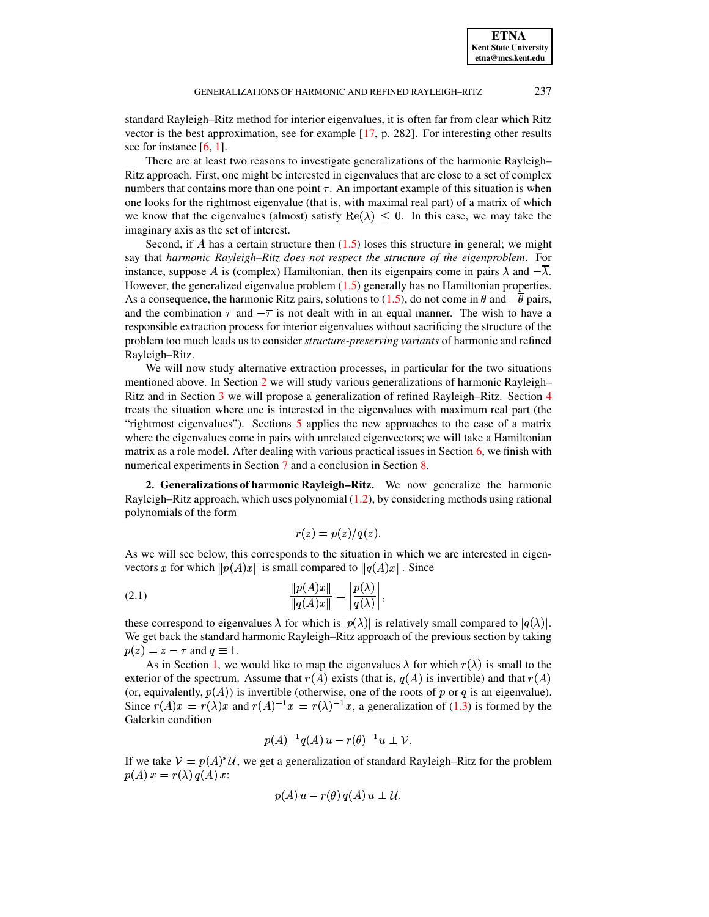standard Rayleigh–Ritz method for interior eigenvalues, it is often far from clear which Ritz vector is the best approximation, see for example [\[17,](#page-17-0) p. 282]. For interesting other results see for instance  $[6, 1]$  $[6, 1]$  $[6, 1]$ .

There are at least two reasons to investigate generalizations of the harmonic Rayleigh– Ritz approach. First, one might be interested in eigenvalues that are close to a set of complex numbers that contains more than one point  $\tau$ . An important example of this situation is when one looks for the rightmost eigenvalue (that is, with maximal real part) of a matrix of which we know that the eigenvalues (almost) satisfy  $\text{Re}(\lambda) \leq 0$ . In this case, we may take the imaginary axis as the set of interest.

Second, if  $\vec{A}$  has a certain structure then [\(1.5\)](#page-1-1) loses this structure in general; we might say that *harmonic Rayleigh–Ritz does not respect the structure of the eigenproblem*. For instance, suppose A is (complex) Hamiltonian, then its eigenpairs come in pairs  $\lambda$  and  $-\lambda$ . However, the generalized eigenvalue problem [\(1.5\)](#page-1-1) generally has no Hamiltonian properties. As a consequence, the harmonic Ritz pairs, solutions to [\(1.5\)](#page-1-1), do not come in  $\theta$  and  $-\theta$  pairs, and the combination  $\tau$  and  $-\overline{\tau}$  is not dealt with in an equal manner. The wish to have a responsible extraction process for interior eigenvalues without sacrificing the structure of the problem too much leads us to consider *structure-preserving variants* of harmonic and refined Rayleigh–Ritz.

We will now study alternative extraction processes, in particular for the two situations mentioned above. In Section [2](#page-2-0) we will study various generalizations of harmonic Rayleigh– Ritz and in Section [3](#page-7-0) we will propose a generalization of refined Rayleigh–Ritz. Section [4](#page-7-1) treats the situation where one is interested in the eigenvalues with maximum real part (the "rightmost eigenvalues"). Sections [5](#page-10-0) applies the new approaches to the case of a matrix where the eigenvalues come in pairs with unrelated eigenvectors; we will take a Hamiltonian matrix as a role model. After dealing with various practical issues in Section [6,](#page-12-0) we finish with numerical experiments in Section [7](#page-13-0) and a conclusion in Section [8.](#page-16-0)

<span id="page-2-0"></span>**2. Generalizations of harmonic Rayleigh–Ritz.** We now generalize the harmonic Rayleigh–Ritz approach, which uses polynomial [\(1.2\)](#page-0-0), by considering methods using rational polynomials of the form

$$
r(z) = p(z)/q(z).
$$

As we will see below, this corresponds to the situation in which we are interested in eigenvectors x for which  $||p(A)x||$  is small compared to  $||q(A)x||$ . Since

$$
(2.1) \qquad \qquad \frac{\|p(A)x\|}{\|q(A)x\|} = \left|\frac{p(\lambda)}{q(\lambda)}\right|,
$$

these correspond to eigenvalues  $\lambda$  for which is  $|p(\lambda)|$  is relatively small compared to  $|q(\lambda)|$ . We get back the standard harmonic Rayleigh–Ritz approach of the previous section by taking  $p(z) = z - \tau$  and  $q \equiv 1$ .

As in Section [1,](#page-0-1) we would like to map the eigenvalues  $\lambda$  for which  $r(\lambda)$  is small to the exterior of the spectrum. Assume that  $r(A)$  exists (that is,  $q(A)$  is invertible) and that  $r(A)$ (or, equivalently,  $p(A)$ ) is invertible (otherwise, one of the roots of p or q is an eigenvalue). Since  $r(A)x = r(\lambda)x$  and  $r(A)^{-1}x = r(\lambda)^{-1}x$ , a generalization of [\(1.3\)](#page-1-2) is formed by the Galerkin condition

$$
p(A)^{-1}q(A) u - r(\theta)^{-1} u \perp \mathcal{V}.
$$

If we take  $V = p(A)^*U$ , we get a generalization of standard Rayleigh–Ritz for the problem  $p(A) x = r(\lambda) q(A) x$ :

$$
p(A) u - r(\theta) q(A) u \perp \mathcal{U}.
$$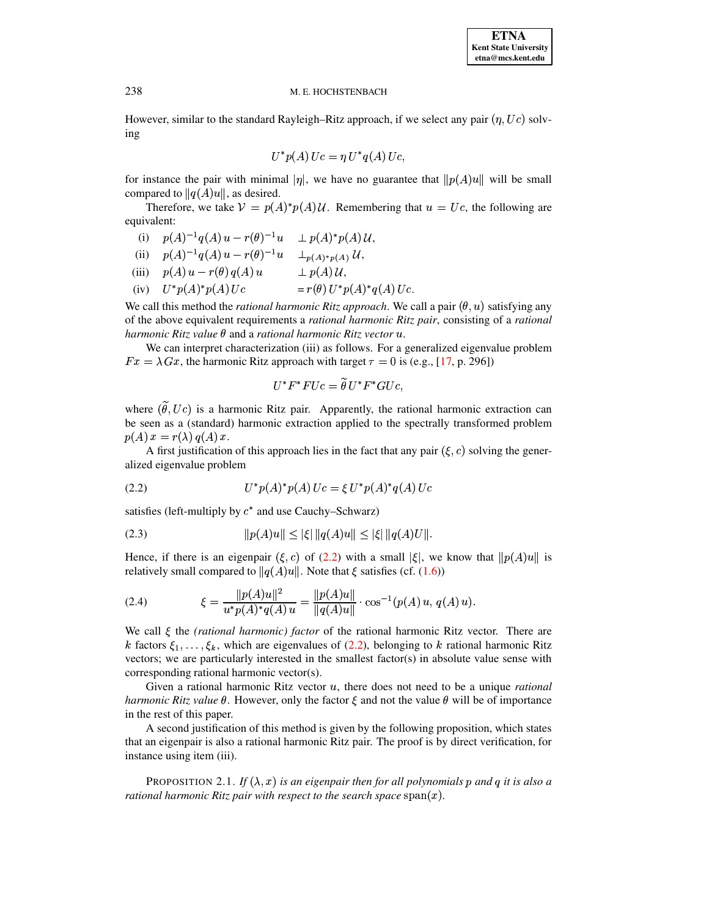However, similar to the standard Rayleigh–Ritz approach, if we select any pair  $(\eta, Uc)$  solving

$$
U^*p(A)\,Uc=\eta\,U^*q(A)\,Uc,
$$

for instance the pair with minimal  $|\eta|$ , we have no guarantee that  $||p(A)u||$  will be small compared to  $||q(A)u||$ , as desired.

Therefore, we take  $V = p(A)^* p(A) U$ . Remembering that  $u = Uc$ , the following are equivalent:

(i)  $p(A)^{-1}q(A)u - r(\theta)^{-1}u \perp p(A)^*p(A)U$ ,

(ii) 
$$
p(A)^{-1}q(A)u - r(\theta)^{-1}u \quad \perp_{p(A)^*p(A)} U
$$
,

- (iii)  $p(A)u r(\theta) q(A) u \longrightarrow p(A) U$ ,
- (iv)  $U^* p(A)^* p(A) Uc = r(\theta) U^* p(A)$  $U^\ast p(A)^\ast q(A) \, Uc.$

We call this method the *rational harmonic Ritz approach*. We call a pair  $(\theta, u)$  satisfying any of the above equivalent requirements a *rational harmonic Ritz pair*, consisting of a *rational*  $h$ armonic Ritz value  $\theta$  and a *rational harmonic Ritz vector*  $u$ .

We can interpret characterization (iii) as follows. For a generalized eigenvalue problem  $Fx = \lambda Gx$ , the harmonic Ritz approach with target  $\tau = 0$  is (e.g., [\[17,](#page-17-0) p. 296])

$$
U^*F^*FUc=\widetilde\theta\,U^*F^*GUc,
$$

where  $(\theta, Uc)$  is a harmonic Ritz pair. Apparently, the rational harmonic extraction can be seen as a (standard) harmonic extraction applied to the spectrally transformed problem  $p(A) x = r(\lambda) q(A) x$ .

A first justification of this approach lies in the fact that any pair  $(\xi, c)$  solving the generalized eigenvalue problem

<span id="page-3-0"></span>(2.2) 
$$
U^* p(A)^* p(A) Uc = \xi U^* p(A)^* q(A) Uc
$$

satisfies (left-multiply by  $c^*$  and use Cauchy–Schwarz)

<span id="page-3-1"></span>
$$
||p(A)u|| \le |\xi| ||q(A)u|| \le |\xi| ||q(A)U||.
$$

Hence, if there is an eigenpair  $(\xi, c)$  of  $(2.2)$  with a small  $|\xi|$ , we know that  $||p(A)u||$  is relatively small compared to  $||q(A)u||$ . Note that  $\xi$  satisfies (cf. [\(1.6\)](#page-1-3))

<span id="page-3-2"></span>(2.4) 
$$
\xi = \frac{\|p(A)u\|^2}{u^*p(A)^*q(A)u} = \frac{\|p(A)u\|}{\|q(A)u\|} \cdot \cos^{-1}(p(A)u, q(A)u).
$$

We call  $\xi$  the *(rational harmonic) factor* of the rational harmonic Ritz vector. There are k factors  $\xi_1, \ldots, \xi_k$ , which are eigenvalues of [\(2.2\)](#page-3-0), belonging to k rational harmonic Ritz vectors; we are particularly interested in the smallest factor(s) in absolute value sense with corresponding rational harmonic vector(s).

Given a rational harmonic Ritz vector u, there does not need to be a unique *rational harmonic Ritz value*  $\theta$ . However, only the factor  $\xi$  and not the value  $\theta$  will be of importance in the rest of this paper.

A second justification of this method is given by the following proposition, which states that an eigenpair is also a rational harmonic Ritz pair. The proof is by direct verification, for instance using item (iii).

PROPOSITION 2.1. *If*  $(\lambda, x)$  *is an eigenpair then for all polynomials p and q it is also a* rational harmonic Ritz pair with respect to the search space  $\operatorname{span}(x)$ .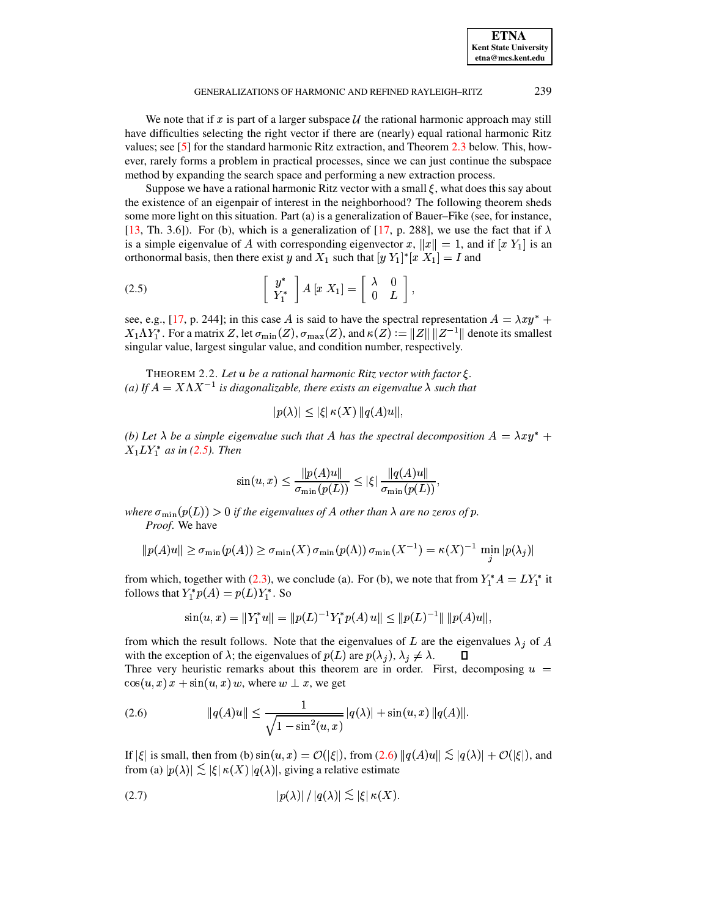### GENERALIZATIONS OF HARMONIC AND REFINED RAYLEIGH–RITZ 239

We note that if  $x$  is part of a larger subspace  $U$  the rational harmonic approach may still have difficulties selecting the right vector if there are (nearly) equal rational harmonic Ritz values; see [\[5\]](#page-17-6) for the standard harmonic Ritz extraction, and Theorem [2.3](#page-5-0) below. This, however, rarely forms a problem in practical processes, since we can just continue the subspace method by expanding the search space and performing a new extraction process.

Suppose we have a rational harmonic Ritz vector with a small  $\xi$ , what does this say about the existence of an eigenpair of interest in the neighborhood? The following theorem sheds some more light on this situation. Part (a) is a generalization of Bauer–Fike (see, for instance, [\[13,](#page-17-7) Th. 3.6]). For (b), which is a generalization of [\[17,](#page-17-0) p. 288], we use the fact that if  $\lambda$ is a simple eigenvalue of A with corresponding eigenvector x,  $||x|| = 1$ , and if  $[x Y_1]$  is an orthonormal basis, then there exist y and  $X_1$  such that  $[y Y_1]^* [x X_1] = I$  and

<span id="page-4-0"></span>(2.5) 
$$
\left[\begin{array}{c}y^*\\Y_1^*\end{array}\right]A[x\ X_1]=\left[\begin{array}{cc}\lambda&0\\0&L\end{array}\right],
$$

see, e.g., [\[17,](#page-17-0) p. 244]; in this case A is said to have the spectral representation  $A = \lambda xy^* +$  $X_1\Lambda Y_1^*$ . For a matrix Z, let  $\sigma_{\min}(Z)$ ,  $\sigma_{\max}(Z)$ , and  $\kappa(Z):=\|Z\|\, \|Z^{-1}\|$  denote its smallest singular value, largest singular value, and condition number, respectively.

<span id="page-4-3"></span>THEOREM 2.2. Let  $u$  be a rational harmonic Ritz vector with factor  $\xi$ . (a) If  $A = X \Lambda X^{-1}$  is diagonalizable, there exists an eigenvalue  $\lambda$  such that

$$
|p(\lambda)| \leq |\xi| \kappa(X) ||q(A)u||,
$$

*(b)* Let  $\lambda$  be a simple eigenvalue such that A has the spectral decomposition  $A = \lambda xy^* +$  $X_1 L Y_1^*$  as in [\(2.5\)](#page-4-0). Then

$$
\sin(u, x) \le \frac{\|p(A)u\|}{\sigma_{\min}(p(L))} \le |\xi| \frac{\|q(A)u\|}{\sigma_{\min}(p(L))},
$$

the contract of the contract of the

where  $\sigma_{\min}(p(L)) > 0$  if the eigenvalues of A other than  $\lambda$  are no zeros of  $p$ . *Proof*. We have

$$
||p(A)u|| \geq \sigma_{\min}(p(A)) \geq \sigma_{\min}(X) \sigma_{\min}(p(\Lambda)) \sigma_{\min}(X^{-1}) = \kappa(X)^{-1} \min_{j} |p(\lambda_j)|
$$

from which, together with [\(2.3\)](#page-3-1), we conclude (a). For (b), we note that from  $Y_1^*A = LY_1^*$  it follows that  $Y_1^*p(A) = p(L)Y_1^*$ . So

$$
\sin(u, x) = \|Y_1^* u\| = \|p(L)^{-1} Y_1^* p(A) u\| \le \|p(L)^{-1}\| \|p(A) u\|,
$$

from which the result follows. Note that the eigenvalues of L are the eigenvalues  $\lambda_i$  of A with the exception of  $\lambda$ ; the eigenvalues of  $p(L)$  are  $p(\lambda_i)$ ,  $\lambda_i \neq \lambda$ . Three very heuristic remarks about this theorem are in order. First, decomposing  $u =$  $\cos(u, x) x + \sin(u, x) w$ , where  $w \perp x$ , we get

<span id="page-4-1"></span>(2.6) 
$$
\|q(A)u\| \le \frac{1}{\sqrt{1-\sin^2(u,x)}}|q(\lambda)| + \sin(u,x) \|q(A)\|.
$$

If  $|\xi|$  is small, then from (b)  $\sin(u, x) = \mathcal{O}(|\xi|)$ , from [\(2.6\)](#page-4-1)  $||q(A)u|| \lesssim |q(\lambda)| + \mathcal{O}(|\xi|)$ , and from (a)  $|p(\lambda)| \lesssim |\xi| \kappa(X) |q(\lambda)|$ , giving a relative estimate

<span id="page-4-2"></span>
$$
|p(\lambda)| / |q(\lambda)| \lesssim |\xi| \kappa(X).
$$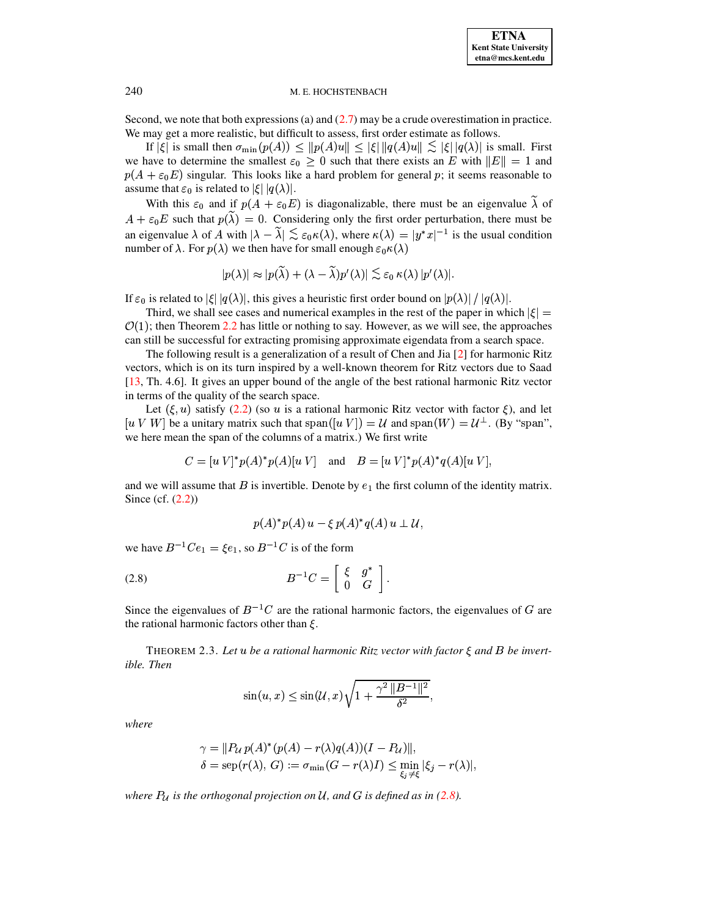Second, we note that both expressions (a) and  $(2.7)$  may be a crude overestimation in practice. We may get a more realistic, but difficult to assess, first order estimate as follows.

If  $|\xi|$  is small then  $\sigma_{\min}(p(A)) \le ||p(A)u|| \le |\xi| ||q(A)u|| \lesssim |\xi| |q(\lambda)|$  is small. First we have to determine the smallest  $\varepsilon_0 \geq 0$  such that there exists an E with  $||E|| = 1$  and  $p(A + \varepsilon_0 E)$  singular. This looks like a hard problem for general p; it seems reasonable to assume that  $\varepsilon_0$  is related to  $|\xi| |q(\lambda)|$ .

With this  $\varepsilon_0$  and if  $p(A + \varepsilon_0 E)$  is diagonalizable, there must be an eigenvalue  $\lambda$  of  $A + \varepsilon_0 E$  such that  $p(\lambda) = 0$ . Considering only the first order perturbation, there must be an eigenvalue  $\lambda$  of A with  $|\lambda - \lambda| \lesssim \varepsilon_0 \kappa(\lambda)$ , where  $\kappa(\lambda) = |y^*x|^{-1}$  is the usual condition number of  $\lambda$ . For  $p(\lambda)$  we then have for small enough  $\varepsilon_0 \kappa(\lambda)$ 

$$
|p(\lambda)| \approx |p(\widetilde{\lambda}) + (\lambda - \widetilde{\lambda}) p'(\lambda)| \lesssim \varepsilon_0 \, \kappa(\lambda) \, |p'(\lambda)|.
$$

If  $\varepsilon_0$  is related to  $|\xi| |q(\lambda)|$ , this gives a heuristic first order bound on  $|p(\lambda)| / |q(\lambda)|$ .

Third, we shall see cases and numerical examples in the rest of the paper in which  $|\xi|$  $\mathcal{O}(1)$ ; then Theorem [2.2](#page-4-3) has little or nothing to say. However, as we will see, the approaches can still be successful for extracting promising approximate eigendata from a search space.

The following result is a generalization of a result of Chen and Jia [\[2\]](#page-17-8) for harmonic Ritz vectors, which is on its turn inspired by a well-known theorem for Ritz vectors due to Saad [\[13,](#page-17-7) Th. 4.6]. It gives an upper bound of the angle of the best rational harmonic Ritz vector in terms of the quality of the search space.

Let  $(\xi, u)$  satisfy [\(2.2\)](#page-3-0) (so u is a rational harmonic Ritz vector with factor  $\xi$ ), and let  $[u, V, W]$  be a unitary matrix such that span $([u, V]) = U$  and span $(W) = U^{\perp}$ . (By "span", we here mean the span of the columns of a matrix.) We first write

$$
C = [u V]^* p(A)^* p(A) [u V]
$$
 and  $B = [u V]^* p(A)^* q(A) [u V]$ ,

and we will assume that  $B$  is invertible. Denote by  $e_1$  the first column of the identity matrix. Since (cf.  $(2.2)$ )

<span id="page-5-1"></span>
$$
p(A)^*p(A) u - \xi p(A)^*q(A) u \perp \mathcal{U},
$$

we have  $B^{-1}Ce_1 = \xi e_1$ , so  $B^{-1}C$  is of the form

$$
(2.8) \t\t B^{-1}C = \left[ \begin{array}{cc} \xi & g^* \\ 0 & G \end{array} \right].
$$

Since the eigenvalues of  $B^{-1}C$  are the rational harmonic factors, the eigenvalues of G are the rational harmonic factors other than  $\xi$ .

<span id="page-5-0"></span>THEOREM 2.3. Let  $u$  be a rational harmonic Ritz vector with factor  $\xi$  and  $B$  be invert*ible. Then*

$$
\sin(u, x) \le \sin(\mathcal{U}, x) \sqrt{1 + \frac{\gamma^2 ||B^{-1}||^2}{\delta^2}},
$$

*where*

$$
\gamma = ||P_{\mathcal{U}} p(A)^*(p(A) - r(\lambda)q(A))(I - P_{\mathcal{U}})||,
$$
  
\n
$$
\delta = \text{sep}(r(\lambda), G) := \sigma_{\min}(G - r(\lambda)I) \le \min_{\xi, \xi \neq f} |\xi_j - r(\lambda)|,
$$

*where*  $P_{\mathcal{U}}$  *is the orthogonal projection on*  $\mathcal{U}$ *, and*  $G$  *is defined as in* [\(2.8\)](#page-5-1)*.*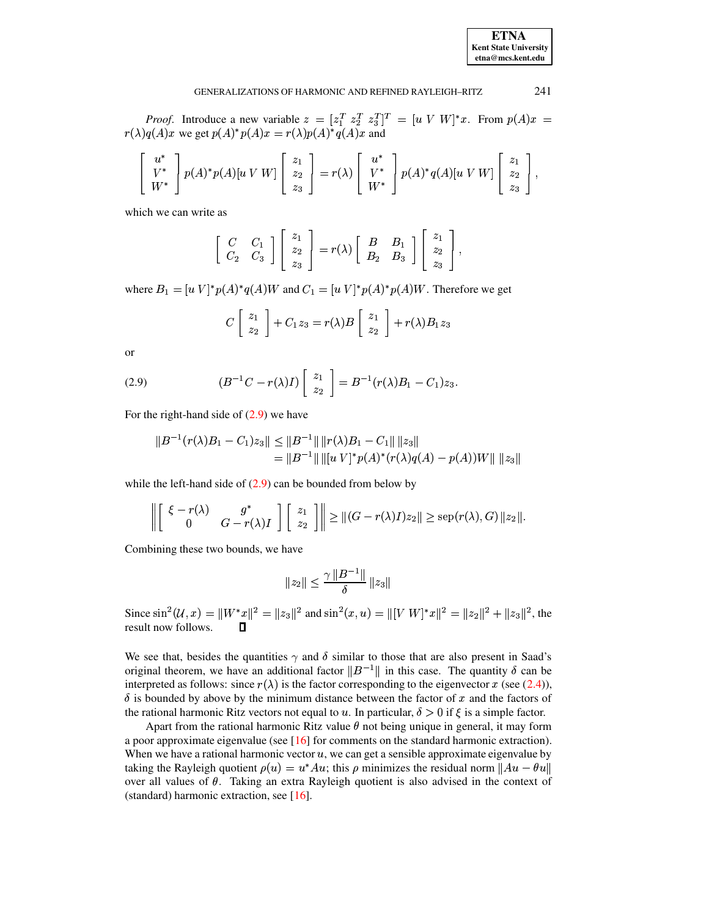241

#### GENERALIZATIONS OF HARMONIC AND REFINED RAYLEIGH-RITZ

*Proof.* Introduce a new variable  $z = [z_1^T \ z_2^T \ z_3^T]^T = [u \ V \ W]^*x$ . From  $p(A)x =$  $r(\lambda)q(A)x$  we get  $p(A)^*p(A)x = r(\lambda)p(A)^*q(A)x$  and

$$
\begin{bmatrix} u^* \\ V^* \\ W^* \end{bmatrix} p(A)^* p(A) [u \ V \ W] \begin{bmatrix} z_1 \\ z_2 \\ z_3 \end{bmatrix} = r(\lambda) \begin{bmatrix} u^* \\ V^* \\ W^* \end{bmatrix} p(A)^* q(A) [u \ V \ W] \begin{bmatrix} z_1 \\ z_2 \\ z_3 \end{bmatrix},
$$

which we can write as

$$
\left[\begin{array}{cc} C & C_1 \\ C_2 & C_3 \end{array}\right] \left[\begin{array}{c} z_1 \\ z_2 \\ z_3 \end{array}\right] = r(\lambda) \left[\begin{array}{cc} B & B_1 \\ B_2 & B_3 \end{array}\right] \left[\begin{array}{c} z_1 \\ z_2 \\ z_3 \end{array}\right],
$$

where  $B_1 = [u \ V]^* p(A)^* q(A)W$  and  $C_1 = [u \ V]^* p(A)^* p(A)W$ . Therefore we get

$$
C\left[\begin{array}{c}z_1\\z_2\end{array}\right]+C_1z_3=r(\lambda)B\left[\begin{array}{c}z_1\\z_2\end{array}\right]+r(\lambda)B_1z_3
$$

or

<span id="page-6-0"></span>(2.9) 
$$
(B^{-1}C - r(\lambda)I) \begin{bmatrix} z_1 \\ z_2 \end{bmatrix} = B^{-1}(r(\lambda)B_1 - C_1)z_3
$$

For the right-hand side of  $(2.9)$  we have

$$
||B^{-1}(r(\lambda)B_1 - C_1)z_3|| \le ||B^{-1}|| \, ||r(\lambda)B_1 - C_1|| \, ||z_3||
$$
  
=  $||B^{-1}|| \, ||[u \, V]^* p(A)^* (r(\lambda) q(A) - p(A)) W || \, ||z_3||$ 

while the left-hand side of  $(2.9)$  can be bounded from below by

$$
\left\| \left[ \begin{array}{cc} \xi - r(\lambda) & g^* \\ 0 & G - r(\lambda)I \end{array} \right] \left[ \begin{array}{c} z_1 \\ z_2 \end{array} \right] \right\| \ge ||(G - r(\lambda)I)z_2|| \ge \text{sep}(r(\lambda), G) ||z_2||.
$$

Combining these two bounds, we have

$$
||z_2|| \leq \frac{\gamma ||B^{-1}||}{\delta} ||z_3||
$$

Since  $\sin^2(U, x) = ||W^*x||^2 = ||z_3||^2$  and  $\sin^2(x, u) = ||[V \ W]^*x||^2 = ||z_2||^2 + ||z_3||^2$ , the result now follows.  $\Box$ 

We see that, besides the quantities  $\gamma$  and  $\delta$  similar to those that are also present in Saad's original theorem, we have an additional factor  $||B^{-1}||$  in this case. The quantity  $\delta$  can be interpreted as follows: since  $r(\lambda)$  is the factor corresponding to the eigenvector x (see (2.4)),  $\delta$  is bounded by above by the minimum distance between the factor of x and the factors of the rational harmonic Ritz vectors not equal to u. In particular,  $\delta > 0$  if  $\xi$  is a simple factor.

Apart from the rational harmonic Ritz value  $\theta$  not being unique in general, it may form a poor approximate eigenvalue (see  $[16]$  for comments on the standard harmonic extraction). When we have a rational harmonic vector  $u$ , we can get a sensible approximate eigenvalue by taking the Rayleigh quotient  $\rho(u) = u^*Au$ ; this  $\rho$  minimizes the residual norm  $\|Au - \theta u\|$ over all values of  $\theta$ . Taking an extra Rayleigh quotient is also advised in the context of (standard) harmonic extraction, see  $[16]$ .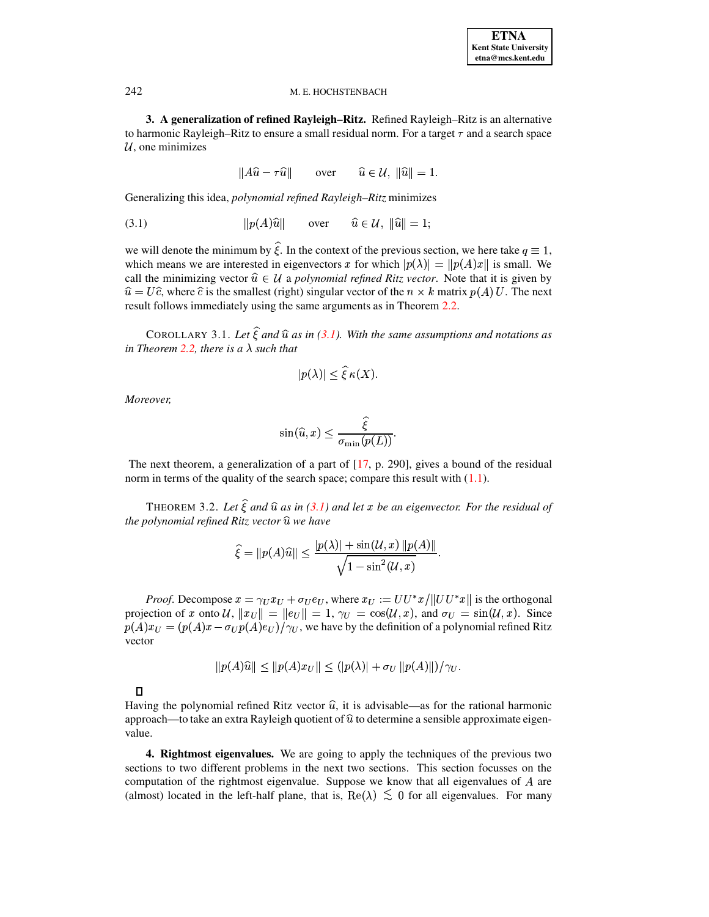3. A generalization of refined Rayleigh-Ritz. Refined Rayleigh-Ritz is an alternative to harmonic Rayleigh–Ritz to ensure a small residual norm. For a target  $\tau$  and a search space  $U$ , one minimizes

$$
||A\hat{u} - \tau \hat{u}|| \qquad \text{over} \qquad \hat{u} \in \mathcal{U}, \ ||\hat{u}|| = 1.
$$

Generalizing this idea, *polynomial refined Rayleigh-Ritz* minimizes

<span id="page-7-2"></span>
$$
(3.1) \t\t\t ||p(A)\hat{u}|| \t\t\t over \t\t \hat{u} \in \mathcal{U}, \|\hat{u}\| = 1;
$$

we will denote the minimum by  $\hat{\xi}$ . In the context of the previous section, we here take  $q \equiv 1$ , which means we are interested in eigenvectors x for which  $|p(\lambda)| = ||p(A)x||$  is small. We call the minimizing vector  $\hat{u} \in \mathcal{U}$  a polynomial refined Ritz vector. Note that it is given by  $\hat{u} = U\hat{c}$ , where  $\hat{c}$  is the smallest (right) singular vector of the  $n \times k$  matrix  $p(A)U$ . The next result follows immediately using the same arguments as in Theorem 2.2.

COROLLARY 3.1. Let  $\hat{\xi}$  and  $\hat{u}$  as in (3.1). With the same assumptions and notations as in Theorem 2.2, there is a  $\lambda$  such that

$$
|p(\lambda)| \le \xi \kappa(X).
$$

Moreover,

$$
\sin(\widehat{u}, x) \le \frac{\widehat{\xi}}{\sigma_{\min}(p(L))}.
$$

The next theorem, a generalization of a part of  $[17, p. 290]$ , gives a bound of the residual norm in terms of the quality of the search space; compare this result with  $(1.1)$ .

THEOREM 3.2. Let  $\hat{\xi}$  and  $\hat{u}$  as in (3.1) and let x be an eigenvector. For the residual of the polynomial refined Ritz vector  $\hat{u}$  we have

$$
\widehat{\xi} = ||p(A)\widehat{u}|| \le \frac{|p(\lambda)| + \sin(\mathcal{U}, x) ||p(A)||}{\sqrt{1 - \sin^2(\mathcal{U}, x)}}
$$

*Proof.* Decompose  $x = \gamma_U x_U + \sigma_U e_U$ , where  $x_U := U U^* x / ||U U^* x||$  is the orthogonal projection of x onto  $\mathcal{U}$ ,  $||x_U|| = ||e_U|| = 1$ ,  $\gamma_U = \cos(\mathcal{U}, x)$ , and  $\sigma_U = \sin(\mathcal{U}, x)$ . Since  $p(A)x_U = (p(A)x - \sigma_U p(A)e_U)/\gamma_U$ , we have by the definition of a polynomial refined Ritz vector

$$
||p(A)\widehat{u}|| \le ||p(A)x_U|| \le (|p(\lambda)| + \sigma_U ||p(A)||)/\gamma_U.
$$

 $\Box$ 

Having the polynomial refined Ritz vector  $\hat{u}$ , it is advisable—as for the rational harmonic approach—to take an extra Rayleigh quotient of  $\hat{u}$  to determine a sensible approximate eigenvalue.

<span id="page-7-1"></span>**4. Rightmost eigenvalues.** We are going to apply the techniques of the previous two sections to two different problems in the next two sections. This section focusses on the computation of the rightmost eigenvalue. Suppose we know that all eigenvalues of  $A$  are (almost) located in the left-half plane, that is,  $\text{Re}(\lambda) \leq 0$  for all eigenvalues. For many

<span id="page-7-0"></span>242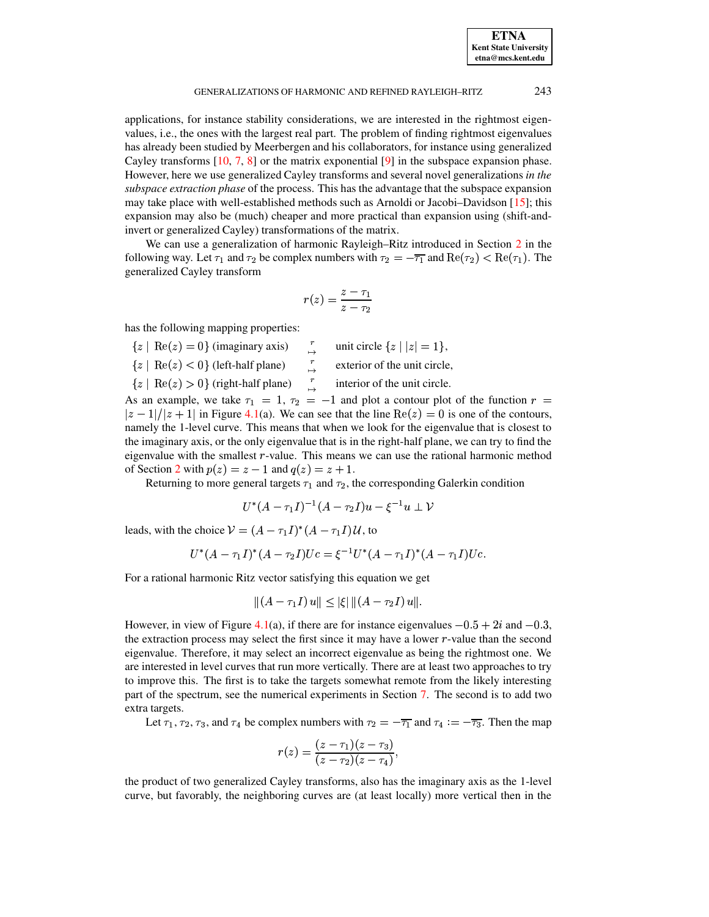#### GENERALIZATIONS OF HARMONIC AND REFINED RAYLEIGH–RITZ 243

applications, for instance stability considerations, we are interested in the rightmost eigenvalues, i.e., the ones with the largest real part. The problem of finding rightmost eigenvalues has already been studied by Meerbergen and his collaborators, for instance using generalized Cayley transforms [\[10,](#page-17-10) [7,](#page-17-11) [8\]](#page-17-12) or the matrix exponential [\[9\]](#page-17-13) in the subspace expansion phase. However, here we use generalized Cayley transforms and several novel generalizations *in the subspace extraction phase* of the process. This has the advantage that the subspace expansion may take place with well-established methods such as Arnoldi or Jacobi–Davidson [\[15\]](#page-17-14); this expansion may also be (much) cheaper and more practical than expansion using (shift-andinvert or generalized Cayley) transformations of the matrix.

We can use a generalization of harmonic Rayleigh–Ritz introduced in Section [2](#page-2-0) in the following way. Let  $\tau_1$  and  $\tau_2$  be complex numbers with  $\tau_2 = -\overline{\tau_1}$  and  $\text{Re}(\tau_2) < \text{Re}(\tau_1)$ . The <sup>f</sup> generalized Cayley transform

$$
r(z)=\frac{z-\tau_1}{z-\tau_2}
$$

has the following mapping properties:

- $\{z \mid \text{Re}(z) = 0\}$  (imaginary axis)  $\begin{array}{ccc} x \\ \rightarrow \end{array}$  unit circle  $\{z \mid |z| = 1\}$ ,<br> $\{z \mid \text{Re}(z) < 0\}$  (left-half plane)  $\begin{array}{ccc} x \\ y \end{array}$  exterior of the unit circle,
- 

 $\{z \mid \text{Re}(z) > 0\}$  (right-hal)

 $\overrightarrow{r}$  interior of the unit circle.

As an example, we take  $\tau_1 = 1$ ,  $\tau_2 = -1$  and plot a contour plot of the function  $r =$  $|z-1|/|z+1|$  in Figure [4.1\(](#page-9-0)a). We can see that the line Re $(z)=0$  is one of the contours, namely the 1-level curve. This means that when we look for the eigenvalue that is closest to the imaginary axis, or the only eigenvalue that is in the right-half plane, we can try to find the eigenvalue with the smallest  $r$ -value. This means we can use the rational harmonic method of Section [2](#page-2-0) with  $p(z) = z - 1$  and  $q(z) = z + 1$ .

Returning to more general targets  $\tau_1$  and  $\tau_2$ , the corresponding Galerkin condition

$$
U^*(A-\tau_1I)^{-1}(A-\tau_2I)u-\xi^{-1}u\perp \mathcal{V}
$$

leads, with the choice  $V = (A - \tau_1 I)^*(A - \tau_1 I)U$ , to

$$
U^*(A - \tau_1 I)^*(A - \tau_2 I)Uc = \xi^{-1}U^*(A - \tau_1 I)^*(A - \tau_1 I)Uc.
$$

For a rational harmonic Ritz vector satisfying this equation we get

$$
||(A - \tau_1 I) u|| \leq |\xi| ||(A - \tau_2 I) u||.
$$

However, in view of Figure [4.1\(](#page-9-0)a), if there are for instance eigenvalues  $-0.5 + 2i$  and  $-0.3$ , the extraction process may select the first since it may have a lower  $r$ -value than the second eigenvalue. Therefore, it may select an incorrect eigenvalue as being the rightmost one. We are interested in level curves that run more vertically. There are at least two approaches to try to improve this. The first is to take the targets somewhat remote from the likely interesting part of the spectrum, see the numerical experiments in Section [7.](#page-13-0) The second is to add two extra targets.

Let  $\tau_1$ ,  $\tau_2$ ,  $\tau_3$ , and  $\tau_4$  be complex numbers with  $\tau_2 = -\overline{\tau_1}$  and  $\tau_4 := -\overline{\tau_3}$ . Then the map

$$
r(z)=\frac{(z-\tau_1)(z-\tau_3)}{(z-\tau_2)(z-\tau_4)},
$$

the product of two generalized Cayley transforms, also has the imaginary axis as the 1-level curve, but favorably, the neighboring curves are (at least locally) more vertical then in the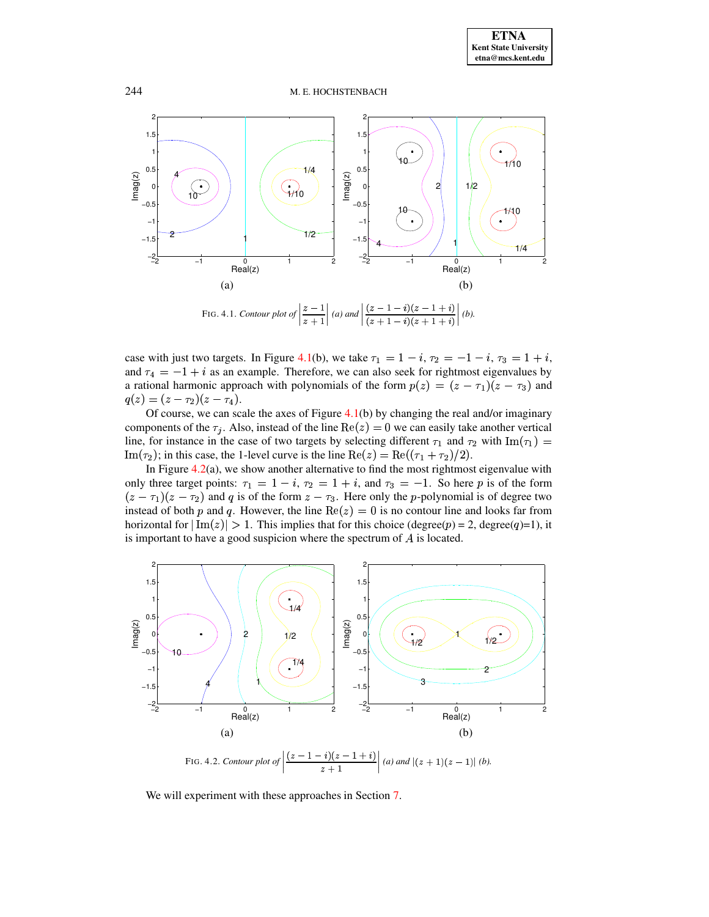

<span id="page-9-0"></span>case with just two targets. In Figure [4.1\(](#page-9-0)b), we take  $\tau_1 = 1 - i$ ,  $\tau_2 = -1 - i$ ,  $\tau_3 = 1 + i$ , and  $\tau_4 = -1 + i$  as an example. Therefore, we can also seek for rightmost eigenvalues by a rational harmonic approach with polynomials of the form  $p(z) = (z - \tau_1)(z - \tau_3)$  and  $q(z) = (z - \tau_2)(z - \tau_4).$  $= (z - \tau_2)(z - \tau_4)$ .<br>Of course, we can scale the axes of Figure [4.1\(](#page-9-0)b) by changing the real and/or imaginary

components of the  $\tau_j$ . Also, instead of the line  $\text{Re}(z) = 0$  we can easily take another vertical line, for instance in the case of two targets by selecting different  $\tau_1$  and  $\tau_2$  with  $\text{Im}(\tau_1)$  = Im( $\tau_2$ ); in this case, the 1-level curve is the line  $\text{Re}(z) = \text{Re}((\tau_1 + \tau_2)/2)$ .

In Figure [4.2\(](#page-9-1)a), we show another alternative to find the most rightmost eigenvalue with only three target points:  $\tau_1 = 1 - i$ ,  $\tau_2 = 1 + i$ , and  $\tau_3 = -1$ . So here p is of the form  $(z - \tau_1)(z - \tau_2)$  and q is of the form  $z - \tau_3$ . Here only the p-polynomial is of degree two instead of both p and q. However, the line  $Re(z) = 0$  is no contour line and looks far from horizontal for  $|\text{Im}(z)| > 1$ . This implies that for this choice (degree(p) = 2, degree(q)=1), it is important to have a good suspicion where the spectrum of  $A$  is located.



<span id="page-9-1"></span>We will experiment with these approaches in Section [7.](#page-13-0)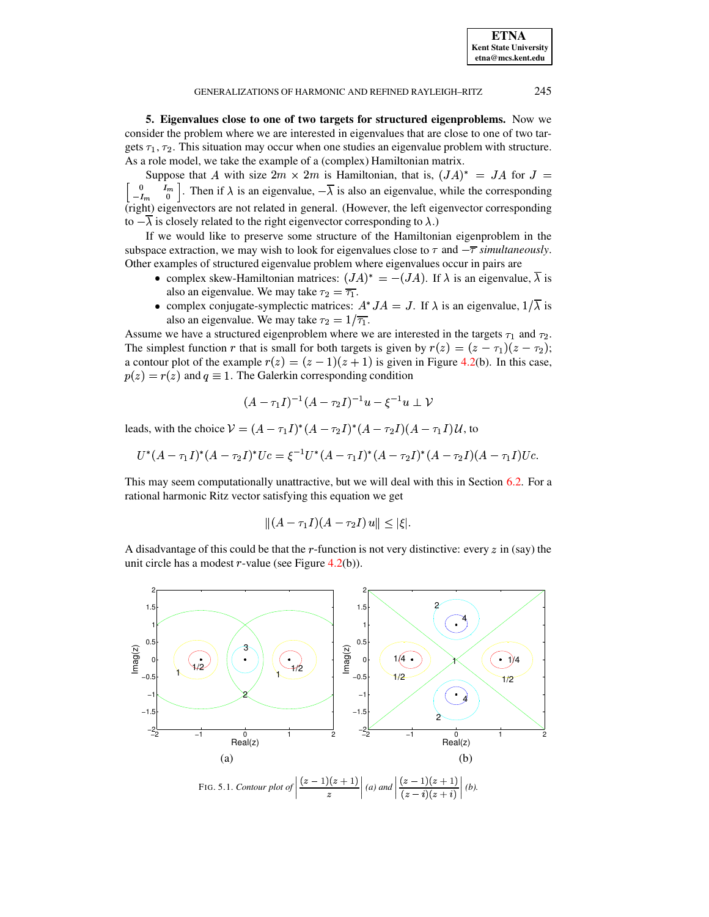<span id="page-10-0"></span>**5. Eigenvalues close to one of two targets for structured eigenproblems.** Now we consider the problem where we are interested in eigenvalues that are close to one of two targets  $\tau_1$ ,  $\tau_2$ . This situation may occur when one studies an eigenvalue problem with structure. As a role model, we take the example of a (complex) Hamiltonian matrix.

Suppose that A with size  $2m \times 2m$  is Hamiltonian, that is,  $(JA)^* = JA$  for  $J =$ <sup>ö</sup>  $\frac{0}{L}$   $\frac{I_m}{0}$ . Then if  $\lambda$  is an eigenvalue,  $-\lambda$  is also an eigenvalue, while the corresponding (right) eigenvectors are not related in general. (However, the left eigenvector corresponding to  $-\lambda$  is closely related to the right eigenvector corresponding to  $\lambda$ .)

If we would like to preserve some structure of the Hamiltonian eigenproblem in the subspace extraction, we may wish to look for eigenvalues close to  $\tau$  and  $-\overline{\tau}$  *simultaneously*. Other examples of structured eigenvalue problem where eigenvalues occur in pairs are

- complex skew-Hamiltonian matrices:  $(JA)^* = -(JA)$ . If  $\lambda$  is an eigenvalue,  $\lambda$  is also an eigenvalue. We may take  $\tau_2 = \overline{\tau_1}$ .
- complex conjugate-symplectic matrices:  $A^*JA = J$ . If  $\lambda$  is an eigenvalue,  $1/\overline{\lambda}$  is also an eigenvalue. We may take  $\tau_2 = 1/\overline{\tau_1}$ .

Assume we have a structured eigenproblem where we are interested in the targets  $\tau_1$  and  $\tau_2$ . The simplest function r that is small for both targets is given by  $r(z) = (z - \tau_1)(z - \tau_2)$ ; a contour plot of the example  $r(z) = (z - 1)(z + 1)$  is given in Figure [4.2\(](#page-9-1)b). In this case,  $p(z) = r(z)$  and  $q \equiv 1$ . The Galerkin corresponding condition

$$
(A - \tau_1 I)^{-1}(A - \tau_2 I)^{-1}u - \xi^{-1} u \perp \mathcal{V}
$$

leads, with the choice  $V = (A - \tau_1 I)^*(A - \tau_2 I)^*(A - \tau_2 I)(A - \tau_1 I)U$ , to

$$
U^*(A-\tau_1I)^*(A-\tau_2I)^*Uc=\xi^{-1}U^*(A-\tau_1I)^*(A-\tau_2I)^*(A-\tau_2I)(A-\tau_1I)Uc.
$$

This may seem computationally unattractive, but we will deal with this in Section [6.2.](#page-12-1) For a rational harmonic Ritz vector satisfying this equation we get

$$
||(A - \tau_1 I)(A - \tau_2 I) u|| \leq |\xi|.
$$

A disadvantage of this could be that the r-function is not very distinctive: every  $z$  in (say) the unit circle has a modest  $r$ -value (see Figure [4.2\(](#page-9-1)b)).

<span id="page-10-1"></span>

**ETNA Kent State University etna@mcs.kent.edu**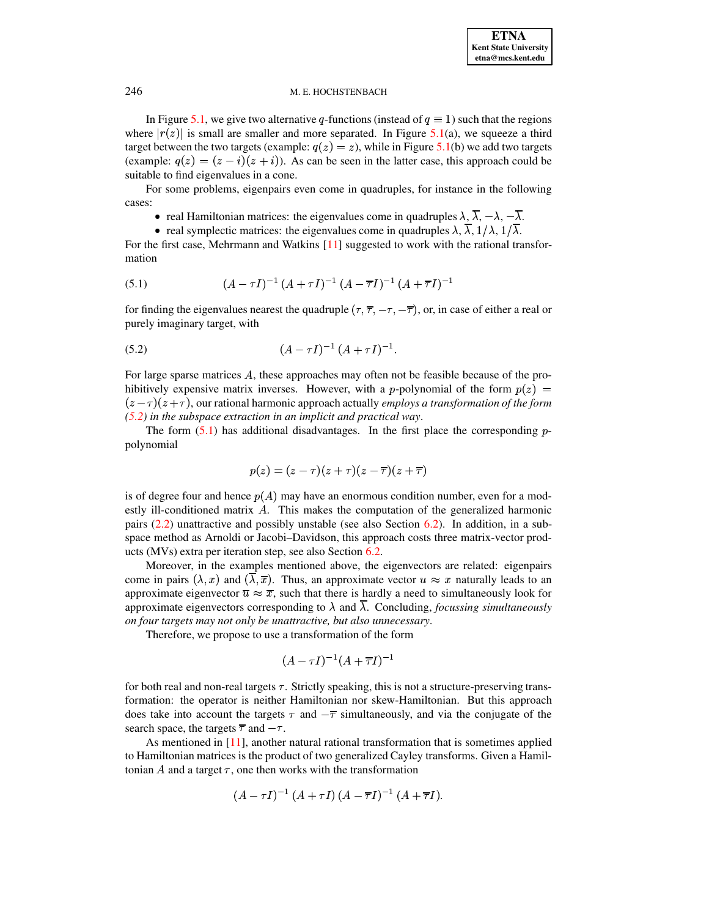In Figure [5.1,](#page-10-1) we give two alternative q-functions (instead of  $q \equiv 1$ ) such that the regions where  $|r(z)|$  is small are smaller and more separated. In Figure [5.1\(](#page-10-1)a), we squeeze a third target between the two targets (example:  $q(z) = z$ ), while in Figure [5.1\(](#page-10-1)b) we add two targets (example:  $q(z) = (z - i)(z + i)$ ). As can be seen in the latter case, this approach could be suitable to find eigenvalues in a cone.

For some problems, eigenpairs even come in quadruples, for instance in the following cases:

- real Hamiltonian matrices: the eigenvalues come in quadruples  $\lambda$ ,  $\lambda$ ,  $-\lambda$ ,  $-\lambda$ .
- real symplectic matrices: the eigenvalues come in quadruples  $\lambda$ ,  $\lambda$ ,  $1/\lambda$ ,  $1/\lambda$ .

For the first case, Mehrmann and Watkins [\[11\]](#page-17-15) suggested to work with the rational transformation

<span id="page-11-1"></span>(5.1) 
$$
(A - \tau I)^{-1} (A + \tau I)^{-1} (A - \overline{\tau} I)^{-1} (A + \overline{\tau} I)^{-1}
$$

for finding the eigenvalues nearest the quadruple  $(\tau, \overline{\tau}, -\tau, -\overline{\tau})$ , or, in case of either a real or purely imaginary target, with

<span id="page-11-0"></span>(5.2) 
$$
(A - \tau I)^{-1} (A + \tau I)^{-1}.
$$

For large sparse matrices  $A$ , these approaches may often not be feasible because of the prohibitively expensive matrix inverses. However, with a *p*-polynomial of the form  $p(z)$  =  $(z - \tau)(z + \tau)$ , our rational harmonic approach actually *employs a transformation of the form [\(5.2\)](#page-11-0) in the subspace extraction in an implicit and practical way*.

The form  $(5.1)$  has additional disadvantages. In the first place the corresponding ppolynomial

$$
p(z)=(z-\tau)(z+\tau)(z-\overline{\tau})(z+\overline{\tau})
$$

is of degree four and hence  $p(A)$  may have an enormous condition number, even for a modestly ill-conditioned matrix  $A$ . This makes the computation of the generalized harmonic pairs [\(2.2\)](#page-3-0) unattractive and possibly unstable (see also Section [6.2\)](#page-12-1). In addition, in a subspace method as Arnoldi or Jacobi–Davidson, this approach costs three matrix-vector products (MVs) extra per iteration step, see also Section [6.2.](#page-12-1)

Moreover, in the examples mentioned above, the eigenvectors are related: eigenpairs come in pairs  $(\lambda, x)$  and  $(\lambda, \overline{x})$ . Thus, an approximate vector  $u \approx x$  naturally leads to an approximate eigenvector  $\overline{u} \approx \overline{x}$ , such that there is hardly a need to simultaneously look for approximate eigenvectors corresponding to  $\lambda$  and  $\lambda$ . Concluding, *focussing simultaneously on four targets may not only be unattractive, but also unnecessary*.

Therefore, we propose to use a transformation of the form

$$
(A-\tau I)^{-1}(A+\overline{\tau}I)^{-1}
$$

for both real and non-real targets  $\tau$ . Strictly speaking, this is not a structure-preserving transformation: the operator is neither Hamiltonian nor skew-Hamiltonian. But this approach does take into account the targets  $\tau$  and  $-\overline{\tau}$  simultaneously, and via the conjugate of the search space, the targets  $\overline{\tau}$  and  $-\tau$ .

As mentioned in [\[11\]](#page-17-15), another natural rational transformation that is sometimes applied to Hamiltonian matrices is the product of two generalized Cayley transforms. Given a Hamiltonian  $A$  and a target  $\tau$ , one then works with the transformation

$$
(A - \tau I)^{-1} (A + \tau I) (A - \overline{\tau} I)^{-1} (A + \overline{\tau} I).
$$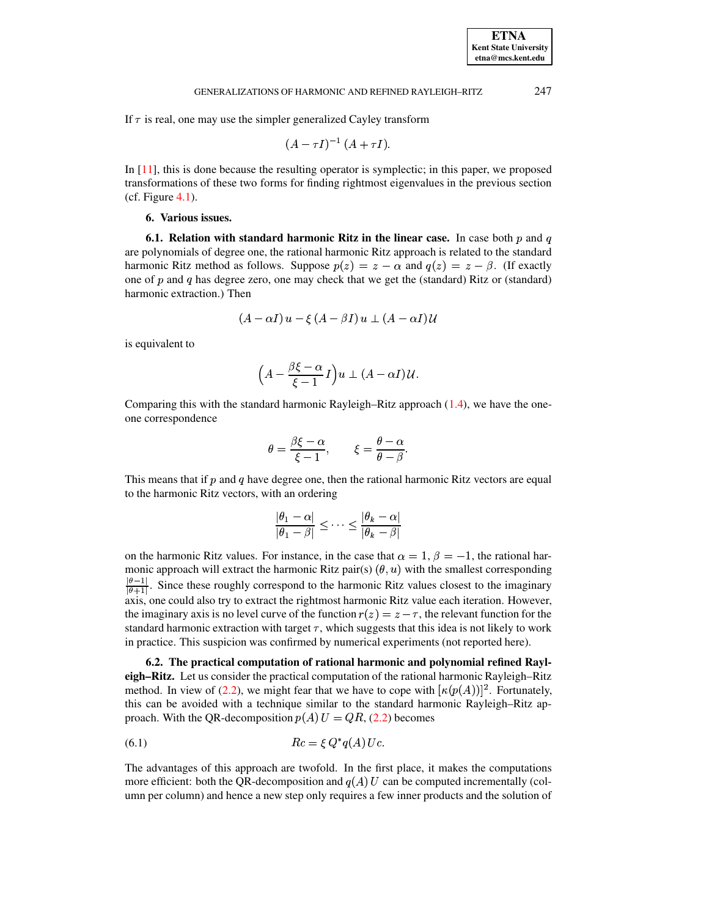If  $\tau$  is real, one may use the simpler generalized Cayley transform

$$
(A-\tau I)^{-1} (A+\tau I).
$$

<span id="page-12-0"></span>In [\[11\]](#page-17-15), this is done because the resulting operator is symplectic; in this paper, we proposed transformations of these two forms for finding rightmost eigenvalues in the previous section  $(cf. Figure 4.1).$  $(cf. Figure 4.1).$  $(cf. Figure 4.1).$ 

## **6. Various issues.**

**6.1.** Relation with standard harmonic Ritz in the linear case. In case both p and q are polynomials of degree one, the rational harmonic Ritz approach is related to the standard harmonic Ritz method as follows. Suppose  $p(z) = z - \alpha$  and  $q(z) = z - \beta$ . (If exactly one of  $p$  and  $q$  has degree zero, one may check that we get the (standard) Ritz or (standard) harmonic extraction.) Then

$$
(A-\alpha I)\,u-\xi\,(A-\beta I)\,u\,\,\bot\,\,(A-\alpha I)\,\mathcal{U}
$$

is equivalent to

$$
\Big(A - \frac{\beta \xi - \alpha}{\xi - 1}\,I\Big) u \perp (A - \alpha I)\, \mathcal{U}.
$$

Comparing this with the standard harmonic Rayleigh–Ritz approach [\(1.4\)](#page-1-4), we have the oneone correspondence

$$
\theta = \frac{\beta \xi - \alpha}{\xi - 1}, \qquad \xi = \frac{\theta - \alpha}{\theta - \beta}.
$$

This means that if  $p$  and  $q$  have degree one, then the rational harmonic Ritz vectors are equal to the harmonic Ritz vectors, with an ordering

$$
\frac{|\theta_1-\alpha|}{|\theta_1-\beta|}\leq\cdots\leq\frac{|\theta_k-\alpha|}{|\theta_k-\beta|}
$$

on the harmonic Ritz values. For instance, in the case that  $\alpha = 1$ ,  $\beta = -1$ , the rational harmonic approach will extract the harmonic Ritz pair(s)  $(\theta, u)$  with the smallest corresponding  $\frac{\theta-1}{\theta+1}$ . Since these roughly correspond to the harmonic Ritz values closest to the imaginary axis, one could also try to extract the rightmost harmonic Ritz value each iteration. However, the imaginary axis is no level curve of the function  $r(z) = z - \tau$ , the relevant function for the standard harmonic extraction with target  $\tau$ , which suggests that this idea is not likely to work in practice. This suspicion was confirmed by numerical experiments (not reported here).

<span id="page-12-1"></span>**6.2. The practical computation of rational harmonic and polynomial refined Rayleigh–Ritz.** Let us consider the practical computation of the rational harmonic Rayleigh–Ritz method. In view of [\(2.2\)](#page-3-0), we might fear that we have to cope with  $\kappa(p(A))]^2$ . Fortunately, this can be avoided with a technique similar to the standard harmonic Rayleigh–Ritz approach. With the QR-decomposition  $p(A) U = QR$ , [\(2.2\)](#page-3-0) becomes

<span id="page-12-2"></span> `'m - <sup>z</sup>  (6.1) ^a`c0

The advantages of this approach are twofold. In the first place, it makes the computations more efficient: both the QR-decomposition and  $q(A)$  U can be computed incrementally (column per column) and hence a new step only requires a few inner products and the solution of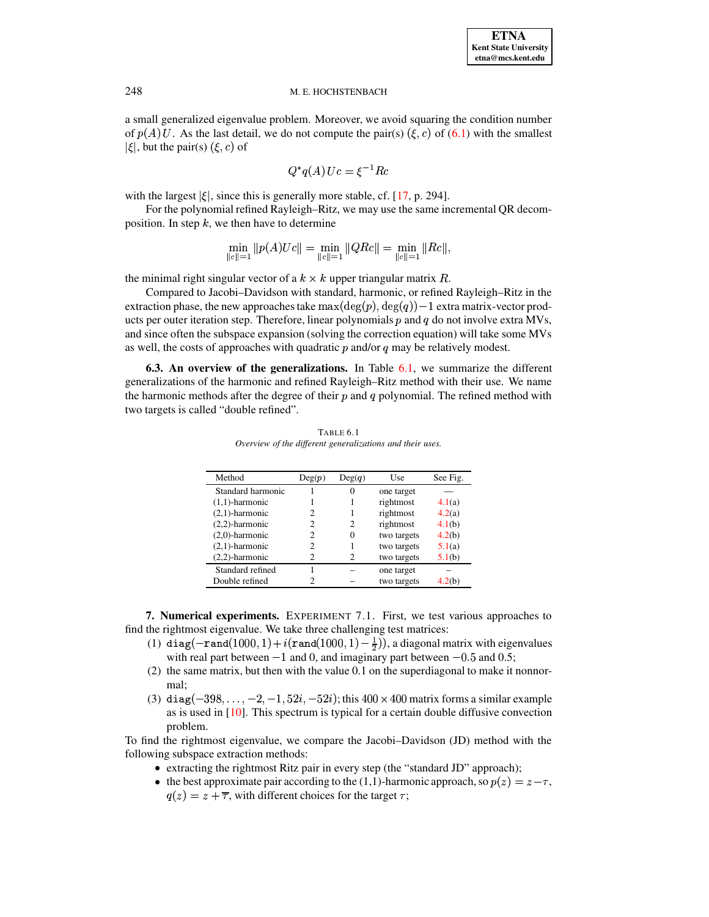a small generalized eigenvalue problem. Moreover, we avoid squaring the condition number of  $p(A)$  U. As the last detail, we do not compute the pair(s)  $(\xi, c)$  of [\(6.1\)](#page-12-2) with the smallest  $|\xi|$ , but the pair(s)  $(\xi, c)$  of

$$
Q^*q(A)\,Uc=\xi^{-1}Rc
$$

with the largest  $|\xi|$ , since this is generally more stable, cf. [\[17,](#page-17-0) p. 294].

For the polynomial refined Rayleigh–Ritz, we may use the same incremental QR decomposition. In step  $k$ , we then have to determine

$$
\min_{\|c\|=1}\|p(A)Uc\|=\min_{\|c\|=1}\|QRe\|=\min_{\|c\|=1}\|Re\|,
$$

the minimal right singular vector of a  $k \times k$  upper triangular matrix  $R$ .

Compared to Jacobi–Davidson with standard, harmonic, or refined Rayleigh–Ritz in the extraction phase, the new approaches take  $\max(\deg(p),\deg(q))-1$  extra matrix-vector products per outer iteration step. Therefore, linear polynomials  $p$  and  $q$  do not involve extra MVs, and since often the subspace expansion (solving the correction equation) will take some MVs as well, the costs of approaches with quadratic  $p$  and/or  $q$  may be relatively modest.

**6.3. An overview of the generalizations.** In Table [6.1,](#page-13-1) we summarize the different generalizations of the harmonic and refined Rayleigh–Ritz method with their use. We name the harmonic methods after the degree of their  $p$  and  $q$  polynomial. The refined method with two targets is called "double refined".

<span id="page-13-1"></span>

| Method            | Deg(p) | Deg(q) | Use         | See Fig. |
|-------------------|--------|--------|-------------|----------|
| Standard harmonic |        |        | one target  |          |
| $(1,1)$ -harmonic |        |        | rightmost   | 4.1(a)   |
| $(2,1)$ -harmonic |        |        | rightmost   | 4.2(a)   |
| $(2,2)$ -harmonic | 2      | 2      | rightmost   | 4.1(b)   |
| $(2,0)$ -harmonic | 2      |        | two targets | 4.2(b)   |
| $(2,1)$ -harmonic | 2      |        | two targets | 5.1(a)   |
| $(2,2)$ -harmonic | っ      | 2      | two targets | 5.1(b)   |
| Standard refined  |        |        | one target  |          |
| Double refined    |        |        | two targets | 20 b     |

TABLE 6.1 *Overview of the different generalizations and their uses.*

<span id="page-13-0"></span>**7. Numerical experiments.** EXPERIMENT 7.1. First, we test various approaches to find the rightmost eigenvalue. We take three challenging test matrices:

- (1) diag( $-{\tt rand}(1000,1)+i({\tt rand}(1000,1)-\frac{1}{2})$ ), a diagonal matrix with eigenvalues with real part between  $-1$  and 0, and imaginary part between  $-0.5$  and 0.5;
- (2) the same matrix, but then with the value 0.1 on the superdiagonal to make it nonnormal;
- (3)  $diag(-398, \ldots, -2, -1, 52i, -52i)$ ; this  $400 \times 400$  matrix forms a similar example as is used in [\[10\]](#page-17-10). This spectrum is typical for a certain double diffusive convection problem.

To find the rightmost eigenvalue, we compare the Jacobi–Davidson (JD) method with the following subspace extraction methods:

- extracting the rightmost Ritz pair in every step (the "standard JD" approach);
- the best approximate pair according to the (1,1)-harmonic approach, so  $p(z) = z \tau$ ,
	- $q(z) = z + \overline{\tau}$ , with different choices for the target  $\tau$ ;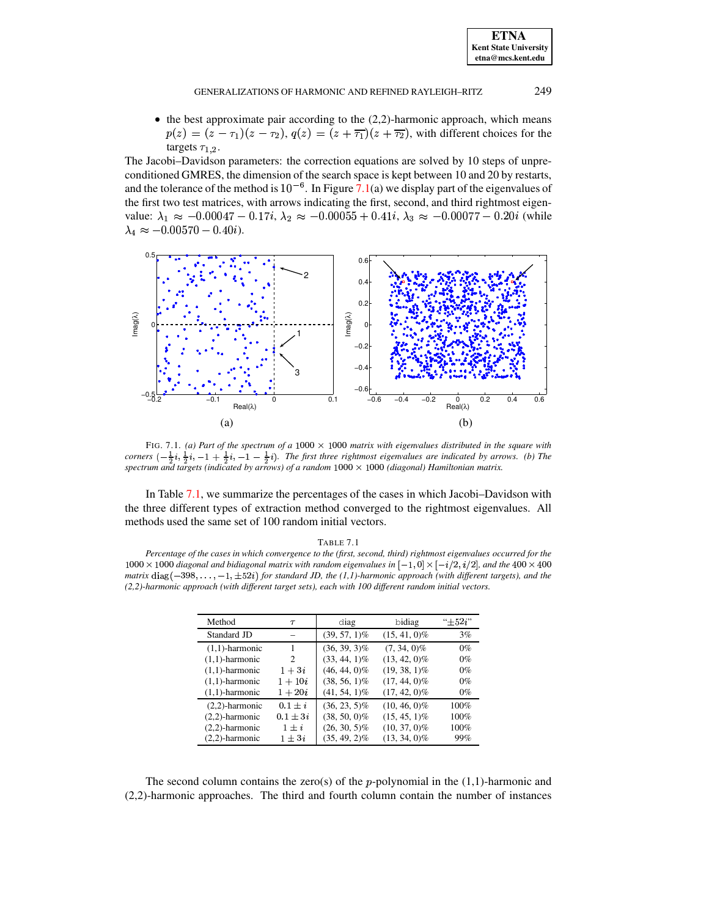#### GENERALIZATIONS OF HARMONIC AND REFINED RAYLEIGH-RITZ

 $\bullet$  the best approximate pair according to the (2,2)-harmonic approach, which means  $p(z) = (z - \tau_1)(z - \tau_2)$ ,  $q(z) = (z + \overline{\tau_1})(z + \overline{\tau_2})$ , with different choices for the targets  $\tau_{1,2}$ .

The Jacobi-Davidson parameters: the correction equations are solved by 10 steps of unpreconditioned GMRES, the dimension of the search space is kept between 10 and 20 by restarts, and the tolerance of the method is  $10^{-6}$ . In Figure 7.1(a) we display part of the eigenvalues of the first two test matrices, with arrows indicating the first, second, and third rightmost eigenvalue:  $\lambda_1 \approx -0.00047 - 0.17i$ ,  $\lambda_2 \approx -0.00055 + 0.41i$ ,  $\lambda_3 \approx -0.00077 - 0.20i$  (while  $\lambda_4 \approx -0.00570 - 0.40i$ .



<span id="page-14-0"></span>FIG. 7.1. (a) Part of the spectrum of a 1000  $\times$  1000 matrix with eigenvalues distributed in the square with corners  $\left(-\frac{1}{2}i, \frac{1}{2}i, -1+\frac{1}{2}i, -1-\frac{1}{2}i\right)$ . The first three rightmost eigenvalues are indicated by arrows. (b) The spectrum and targets (indicated by arrows) of a random  $1000 \times 1000$  (diagonal) Hamiltonian matrix.

In Table 7.1, we summarize the percentages of the cases in which Jacobi–Davidson with the three different types of extraction method converged to the rightmost eigenvalues. All methods used the same set of 100 random initial vectors.

### TABLE 7.1

<span id="page-14-1"></span>Percentage of the cases in which convergence to the (first, second, third) rightmost eigenvalues occurred for the  $1000 \times 1000$  diagonal and bidiagonal matrix with random eigenvalues in  $[-1, 0] \times [-i/2, i/2]$ , and the 400  $\times$  400 matrix diag( $-398, \ldots, -1, \pm 52i$ ) for standard JD, the (1,1)-harmonic approach (with different targets), and the (2,2)-harmonic approach (with different target sets), each with 100 different random initial vectors.

| Method            | $\tau$                        | diag            | bidiag          | $``+52i"$ |
|-------------------|-------------------------------|-----------------|-----------------|-----------|
| Standard JD       |                               | $(39, 57, 1)\%$ | $(15, 41, 0)\%$ | 3%        |
| $(1,1)$ -harmonic |                               | $(36, 39, 3)\%$ | $(7, 34, 0)\%$  | $0\%$     |
| $(1,1)$ -harmonic | $\mathfrak{D}_{\mathfrak{p}}$ | $(33, 44, 1)\%$ | $(13, 42, 0)\%$ | $0\%$     |
| $(1,1)$ -harmonic | $1+3i$                        | $(46, 44, 0)\%$ | $(19, 38, 1)\%$ | $0\%$     |
| $(1,1)$ -harmonic | $1 + 10i$                     | $(38, 56, 1)\%$ | $(17, 44, 0)\%$ | $0\%$     |
| $(1,1)$ -harmonic | $1 + 20i$                     | $(41, 54, 1)\%$ | $(17, 42, 0)\%$ | $0\%$     |
| $(2,2)$ -harmonic | $0.1 \pm i$                   | $(36, 23, 5)\%$ | $(10, 46, 0)\%$ | 100%      |
| $(2,2)$ -harmonic | $0.1 \pm 3i$                  | $(38, 50, 0)\%$ | $(15, 45, 1)\%$ | 100%      |
| $(2,2)$ -harmonic | $1 \pm i$                     | $(26, 30, 5)\%$ | $(10, 37, 0)\%$ | 100%      |
| $(2,2)$ -harmonic | $1 \pm 3i$                    | $(35, 49, 2)\%$ | $(13, 34, 0)\%$ | 99%       |

The second column contains the zero(s) of the *p*-polynomial in the  $(1,1)$ -harmonic and  $(2,2)$ -harmonic approaches. The third and fourth column contain the number of instances

249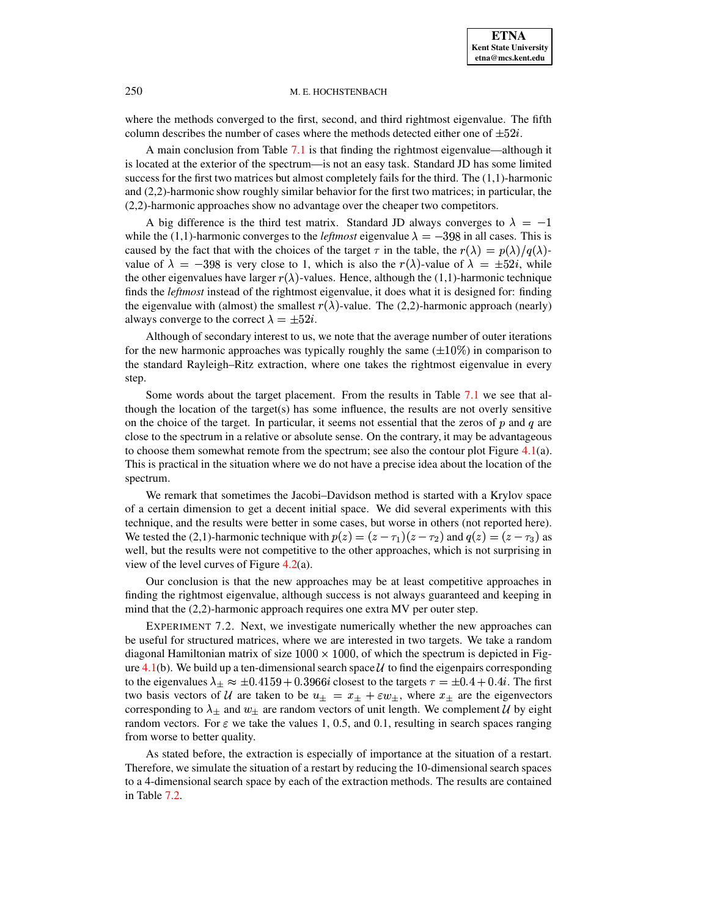where the methods converged to the first, second, and third rightmost eigenvalue. The fifth column describes the number of cases where the methods detected either one of  $\pm 52i$ .

A main conclusion from Table [7.1](#page-14-1) is that finding the rightmost eigenvalue—although it is located at the exterior of the spectrum—is not an easy task. Standard JD has some limited success for the first two matrices but almost completely fails for the third. The (1,1)-harmonic and (2,2)-harmonic show roughly similar behavior for the first two matrices; in particular, the (2,2)-harmonic approaches show no advantage over the cheaper two competitors.

A big difference is the third test matrix. Standard JD always converges to  $\lambda = -1$ while the (1,1)-harmonic converges to the *leftmost* eigenvalue  $\lambda = -398$  in all cases. This is caused by the fact that with the choices of the target  $\tau$  in the table, the  $r(\lambda) = p(\lambda)/q(\lambda)$ value of  $\lambda = -398$  is very close to 1, which is also the  $r(\lambda)$ -value of  $\lambda = \pm 52i$ , while the other eigenvalues have larger  $r(\lambda)$ -values. Hence, although the (1,1)-harmonic technique finds the *leftmost* instead of the rightmost eigenvalue, it does what it is designed for: finding the eigenvalue with (almost) the smallest  $r(\lambda)$ -value. The (2,2)-harmonic approach (nearly) always converge to the correct  $\lambda = \pm 52i$ .

Although of secondary interest to us, we note that the average number of outer iterations for the new harmonic approaches was typically roughly the same  $(\pm 10\%)$  in comparison to the standard Rayleigh–Ritz extraction, where one takes the rightmost eigenvalue in every step.

Some words about the target placement. From the results in Table [7.1](#page-14-1) we see that although the location of the target(s) has some influence, the results are not overly sensitive on the choice of the target. In particular, it seems not essential that the zeros of  $p$  and  $q$  are close to the spectrum in a relative or absolute sense. On the contrary, it may be advantageous to choose them somewhat remote from the spectrum; see also the contour plot Figure [4.1\(](#page-9-0)a). This is practical in the situation where we do not have a precise idea about the location of the spectrum.

We remark that sometimes the Jacobi–Davidson method is started with a Krylov space of a certain dimension to get a decent initial space. We did several experiments with this technique, and the results were better in some cases, but worse in others (not reported here). We tested the (2,1)-harmonic technique with  $p(z) = (z - \tau_1)(z - \tau_2)$  and  $q(z) = (z - \tau_3)$  as well, but the results were not competitive to the other approaches, which is not surprising in view of the level curves of Figure [4.2\(](#page-9-1)a).

Our conclusion is that the new approaches may be at least competitive approaches in finding the rightmost eigenvalue, although success is not always guaranteed and keeping in mind that the (2,2)-harmonic approach requires one extra MV per outer step.

EXPERIMENT 7.2. Next, we investigate numerically whether the new approaches can be useful for structured matrices, where we are interested in two targets. We take a random diagonal Hamiltonian matrix of size  $1000 \times 1000$ , of which the spectrum is depicted in Fig-ure [4.1\(](#page-9-0)b). We build up a ten-dimensional search space  $\mathcal U$  to find the eigenpairs corresponding to the eigenvalues  $\lambda_{\pm} \approx \pm 0.4159 + 0.3966i$  closest to the targets  $\tau = \pm 0.4 + 0.4i$ . The first two basis vectors of U are taken to be  $u_{\pm} = x_{\pm} + \varepsilon w_{\pm}$ , where  $x_{\pm}$  are the eigenvectors corresponding to  $\lambda_{\pm}$  and  $w_{\pm}$  are random vectors of unit length. We complement U by eight random vectors. For  $\varepsilon$  we take the values 1, 0.5, and 0.1, resulting in search spaces ranging from worse to better quality.

As stated before, the extraction is especially of importance at the situation of a restart. Therefore, we simulate the situation of a restart by reducing the 10-dimensionalsearch spaces to a 4-dimensional search space by each of the extraction methods. The results are contained in Table [7.2.](#page-16-1)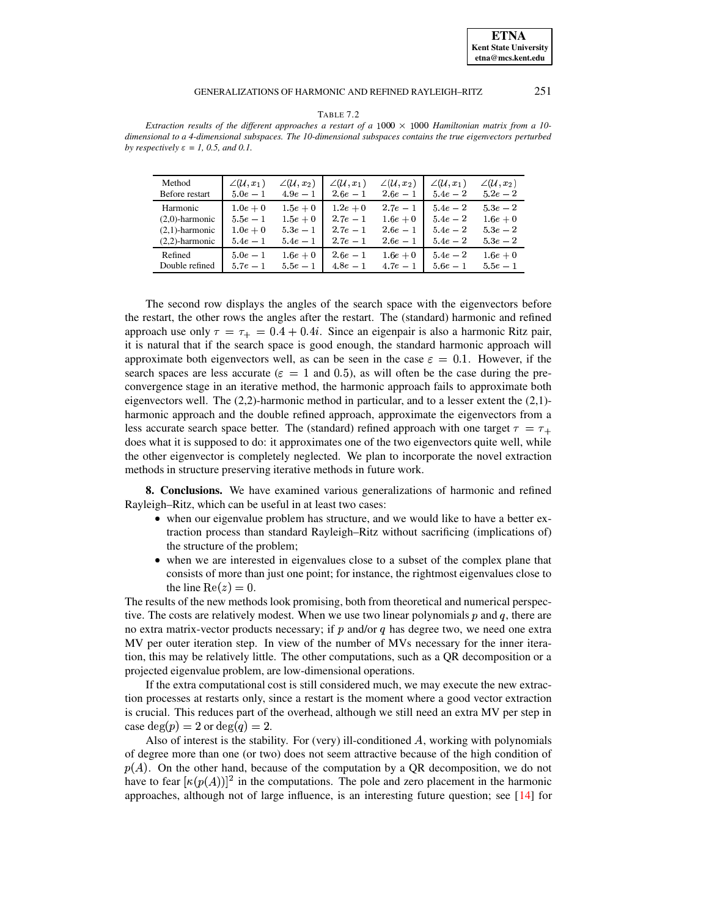#### GENERALIZATIONS OF HARMONIC AND REFINED RAYLEIGH-RITZ

251

|--|--|--|

<span id="page-16-1"></span>Extraction results of the different approaches a restart of a 1000  $\times$  1000 Hamiltonian matrix from a 10dimensional to a 4-dimensional subspaces. The 10-dimensional subspaces contains the true eigenvectors perturbed by respectively  $\varepsilon = 1$ , 0.5, and 0.1.

| Method            | $\angle(\mathcal{U},x_1)$ | $\angle(\mathcal{U},x_2)$ | $\angle(\mathcal{U},x_1)$ | $\angle(\mathcal{U},x_2)$ | $\angle(\mathcal{U},x_1)$ | $\angle(\mathcal{U}, x_2)$ |
|-------------------|---------------------------|---------------------------|---------------------------|---------------------------|---------------------------|----------------------------|
| Before restart    | $5.0e - 1$                | $4.9e-1$                  | $2.6e - 1$                | $2.6e - 1$                | $5.4e - 2$                | $5.2e - 2$                 |
| Harmonic          | $1.0e + 0$                | $1.5e+0$                  | $1.2e + 0$                | $2.7e-1$                  | $5.4e - 2$                | $5.3e - 2$                 |
| $(2,0)$ -harmonic | $5.5e - 1$                | $1.5e + 0$                | $2.7e-1$                  | $1.6e+0$                  | $5.4e - 2$                | $1.6e + 0$                 |
| $(2,1)$ -harmonic | $1.0e + 0$                | $5.3e-1$                  | $2.7e-1$                  | $2.6e - 1$                | $5.4e - 2$                | $5.3e - 2$                 |
| $(2,2)$ -harmonic | $5.4e - 1$                | $5.4e - 1$                | $2.7e-1$                  | $2.6e - 1$                | $5.4e - 2$                | $5.3e - 2$                 |
| Refined           | $5.0e - 1$                | $1.6e + 0$                | $2.6e - 1$                | $1.6e + 0$                | $5.4e - 2$                | $1.6e+0$                   |
| Double refined    | $5.7e-1$                  | $5.5e - 1$                | $4.8e-1$                  | $4.7e-1$                  | $5.6e - 1$                | $5.5e - 1$                 |

The second row displays the angles of the search space with the eigenvectors before the restart, the other rows the angles after the restart. The (standard) harmonic and refined approach use only  $\tau = \tau_+ = 0.4 + 0.4i$ . Since an eigenpair is also a harmonic Ritz pair, it is natural that if the search space is good enough, the standard harmonic approach will approximate both eigenvectors well, as can be seen in the case  $\varepsilon = 0.1$ . However, if the search spaces are less accurate ( $\varepsilon = 1$  and 0.5), as will often be the case during the preconvergence stage in an iterative method, the harmonic approach fails to approximate both eigenvectors well. The  $(2,2)$ -harmonic method in particular, and to a lesser extent the  $(2,1)$ harmonic approach and the double refined approach, approximate the eigenvectors from a less accurate search space better. The (standard) refined approach with one target  $\tau = \tau_{+}$ does what it is supposed to do: it approximates one of the two eigenvectors quite well, while the other eigenvector is completely neglected. We plan to incorporate the novel extraction methods in structure preserving iterative methods in future work.

<span id="page-16-0"></span>**8. Conclusions.** We have examined various generalizations of harmonic and refined Rayleigh-Ritz, which can be useful in at least two cases:

- when our eigenvalue problem has structure, and we would like to have a better extraction process than standard Rayleigh–Ritz without sacrificing (implications of) the structure of the problem;
- when we are interested in eigenvalues close to a subset of the complex plane that consists of more than just one point; for instance, the rightmost eigenvalues close to the line Re $(z) = 0$ .

The results of the new methods look promising, both from theoretical and numerical perspective. The costs are relatively modest. When we use two linear polynomials  $p$  and  $q$ , there are no extra matrix-vector products necessary; if  $p$  and/or  $q$  has degree two, we need one extra MV per outer iteration step. In view of the number of MVs necessary for the inner iteration, this may be relatively little. The other computations, such as a QR decomposition or a projected eigenvalue problem, are low-dimensional operations.

If the extra computational cost is still considered much, we may execute the new extraction processes at restarts only, since a restart is the moment where a good vector extraction is crucial. This reduces part of the overhead, although we still need an extra MV per step in case  $deg(p) = 2$  or  $deg(q) = 2$ .

Also of interest is the stability. For (very) ill-conditioned  $A$ , working with polynomials of degree more than one (or two) does not seem attractive because of the high condition of  $p(A)$ . On the other hand, because of the computation by a QR decomposition, we do not have to fear  $\kappa(p(A))$ <sup>2</sup> in the computations. The pole and zero placement in the harmonic approaches, although not of large influence, is an interesting future question; see  $[14]$  for